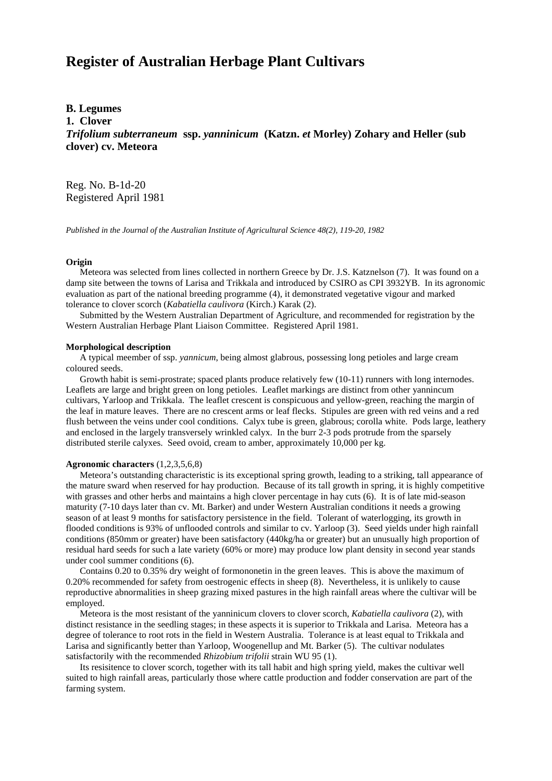# **Register of Australian Herbage Plant Cultivars**

# **B. Legumes**

**1. Clover**

*Trifolium subterraneum* **ssp.** *yanninicum* **(Katzn.** *et* **Morley) Zohary and Heller (sub clover) cv. Meteora**

Reg. No. B-1d-20 Registered April 1981

*Published in the Journal of the Australian Institute of Agricultural Science 48(2), 119-20, 1982*

#### **Origin**

Meteora was selected from lines collected in northern Greece by Dr. J.S. Katznelson (7). It was found on a damp site between the towns of Larisa and Trikkala and introduced by CSIRO as CPI 3932YB. In its agronomic evaluation as part of the national breeding programme (4), it demonstrated vegetative vigour and marked tolerance to clover scorch (*Kabatiella caulivora* (Kirch.) Karak (2).

 Submitted by the Western Australian Department of Agriculture, and recommended for registration by the Western Australian Herbage Plant Liaison Committee. Registered April 1981.

#### **Morphological description**

A typical meember of ssp. *yannicum*, being almost glabrous, possessing long petioles and large cream coloured seeds.

Growth habit is semi-prostrate; spaced plants produce relatively few (10-11) runners with long internodes. Leaflets are large and bright green on long petioles. Leaflet markings are distinct from other yannincum cultivars, Yarloop and Trikkala. The leaflet crescent is conspicuous and yellow-green, reaching the margin of the leaf in mature leaves. There are no crescent arms or leaf flecks. Stipules are green with red veins and a red flush between the veins under cool conditions. Calyx tube is green, glabrous; corolla white. Pods large, leathery and enclosed in the largely transversely wrinkled calyx. In the burr 2-3 pods protrude from the sparsely distributed sterile calyxes. Seed ovoid, cream to amber, approximately 10,000 per kg.

### **Agronomic characters** (1,2,3,5,6,8)

 Meteora's outstanding characteristic is its exceptional spring growth, leading to a striking, tall appearance of the mature sward when reserved for hay production. Because of its tall growth in spring, it is highly competitive with grasses and other herbs and maintains a high clover percentage in hay cuts (6). It is of late mid-season maturity (7-10 days later than cv. Mt. Barker) and under Western Australian conditions it needs a growing season of at least 9 months for satisfactory persistence in the field. Tolerant of waterlogging, its growth in flooded conditions is 93% of unflooded controls and similar to cv. Yarloop (3). Seed yields under high rainfall conditions (850mm or greater) have been satisfactory (440kg/ha or greater) but an unusually high proportion of residual hard seeds for such a late variety (60% or more) may produce low plant density in second year stands under cool summer conditions (6).

 Contains 0.20 to 0.35% dry weight of formononetin in the green leaves. This is above the maximum of 0.20% recommended for safety from oestrogenic effects in sheep (8). Nevertheless, it is unlikely to cause reproductive abnormalities in sheep grazing mixed pastures in the high rainfall areas where the cultivar will be employed.

 Meteora is the most resistant of the yanninicum clovers to clover scorch, *Kabatiella caulivora* (2), with distinct resistance in the seedling stages; in these aspects it is superior to Trikkala and Larisa. Meteora has a degree of tolerance to root rots in the field in Western Australia. Tolerance is at least equal to Trikkala and Larisa and significantly better than Yarloop, Woogenellup and Mt. Barker (5). The cultivar nodulates satisfactorily with the recommended *Rhizobium trifolii* strain WU 95 (1).

 Its resisitence to clover scorch, together with its tall habit and high spring yield, makes the cultivar well suited to high rainfall areas, particularly those where cattle production and fodder conservation are part of the farming system.